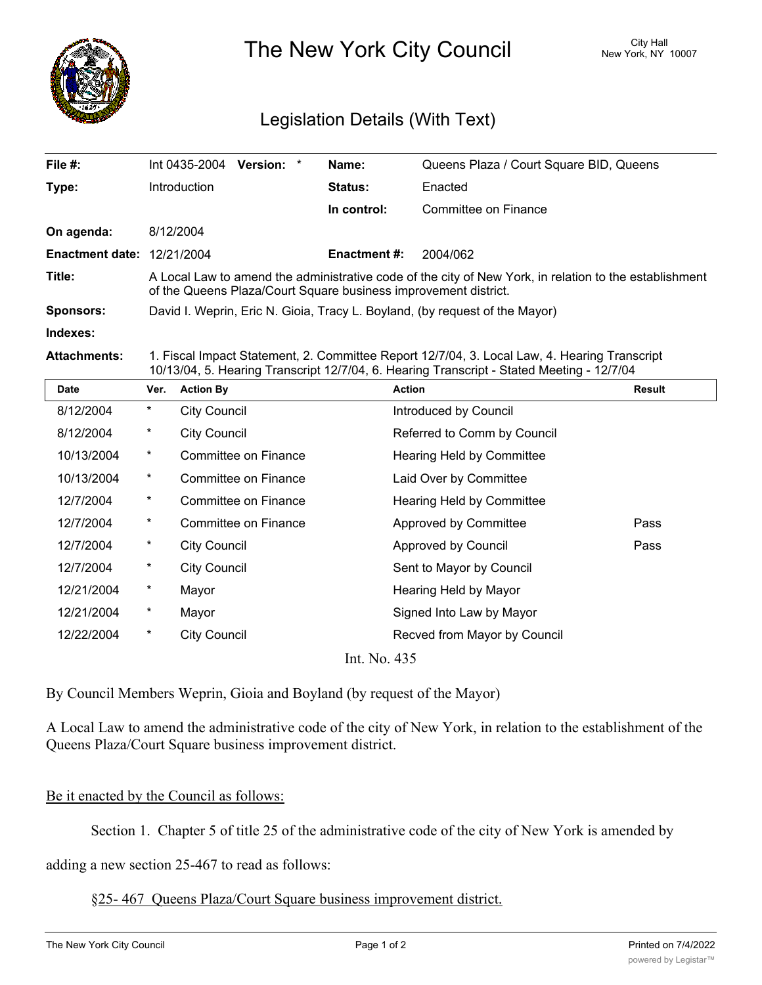

The New York City Council New York, NY 10007

## Legislation Details (With Text)

| File #:                           | Int 0435-2004<br>Version: *                                                                                                                                               | Name:               | Queens Plaza / Court Square BID, Queens |  |  |
|-----------------------------------|---------------------------------------------------------------------------------------------------------------------------------------------------------------------------|---------------------|-----------------------------------------|--|--|
| Type:                             | <b>Introduction</b>                                                                                                                                                       | <b>Status:</b>      | Enacted                                 |  |  |
|                                   |                                                                                                                                                                           | In control:         | Committee on Finance                    |  |  |
| On agenda:                        | 8/12/2004                                                                                                                                                                 |                     |                                         |  |  |
| <b>Enactment date: 12/21/2004</b> |                                                                                                                                                                           | <b>Enactment #:</b> | 2004/062                                |  |  |
| Title:                            | A Local Law to amend the administrative code of the city of New York, in relation to the establishment<br>of the Queens Plaza/Court Square business improvement district. |                     |                                         |  |  |
| <b>Sponsors:</b>                  | David I. Weprin, Eric N. Gioia, Tracy L. Boyland, (by request of the Mayor)                                                                                               |                     |                                         |  |  |
| Indexes:                          |                                                                                                                                                                           |                     |                                         |  |  |
|                                   |                                                                                                                                                                           |                     |                                         |  |  |

**Attachments:** 1. Fiscal Impact Statement, 2. Committee Report 12/7/04, 3. Local Law, 4. Hearing Transcript 10/13/04, 5. Hearing Transcript 12/7/04, 6. Hearing Transcript - Stated Meeting - 12/7/04

| <b>Date</b>  | Ver.       | <b>Action By</b>            | <b>Action</b>                | Result |  |
|--------------|------------|-----------------------------|------------------------------|--------|--|
| 8/12/2004    | $\star$    | <b>City Council</b>         | Introduced by Council        |        |  |
| 8/12/2004    | $^{\star}$ | <b>City Council</b>         | Referred to Comm by Council  |        |  |
| 10/13/2004   | $^\star$   | Committee on Finance        | Hearing Held by Committee    |        |  |
| 10/13/2004   | $^{\star}$ | Committee on Finance        | Laid Over by Committee       |        |  |
| 12/7/2004    | $^{\star}$ | Committee on Finance        | Hearing Held by Committee    |        |  |
| 12/7/2004    | $\star$    | <b>Committee on Finance</b> | Approved by Committee        | Pass   |  |
| 12/7/2004    | $\star$    | <b>City Council</b>         | Approved by Council          | Pass   |  |
| 12/7/2004    | $\ast$     | <b>City Council</b>         | Sent to Mayor by Council     |        |  |
| 12/21/2004   | $\ast$     | Mayor                       | Hearing Held by Mayor        |        |  |
| 12/21/2004   | $\ast$     | Mayor                       | Signed Into Law by Mayor     |        |  |
| 12/22/2004   | $^\star$   | <b>City Council</b>         | Recved from Mayor by Council |        |  |
| Int. No. 435 |            |                             |                              |        |  |

By Council Members Weprin, Gioia and Boyland (by request of the Mayor)

A Local Law to amend the administrative code of the city of New York, in relation to the establishment of the Queens Plaza/Court Square business improvement district.

## Be it enacted by the Council as follows:

Section 1. Chapter 5 of title 25 of the administrative code of the city of New York is amended by

adding a new section 25-467 to read as follows:

§25- 467 Queens Plaza/Court Square business improvement district.